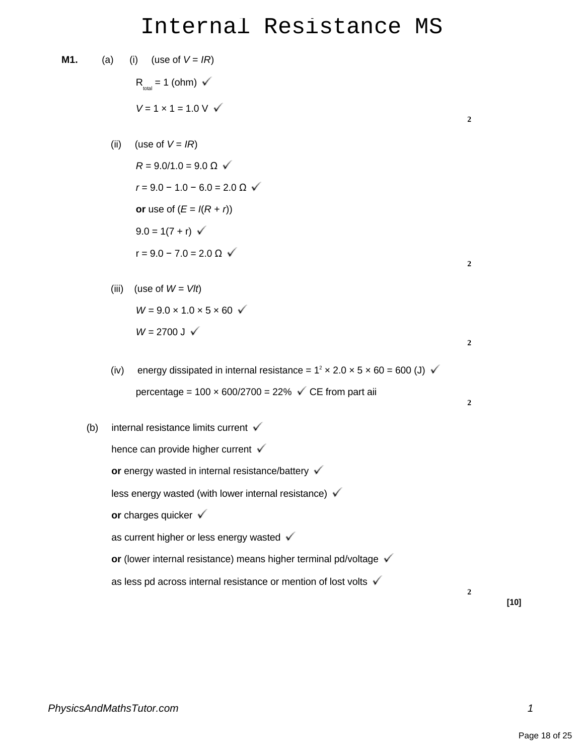## Internal Resistance MS

M1. (a) (i) (use of 
$$
V = IR
$$
)  
\n $R_{\text{test}} = 1$  (ohm)  $\checkmark$   
\n $V = 1 \times 1 = 1.0 \text{ V}$   $\checkmark$   
\n(ii) (use of  $V = IR$ )  
\n $R = 9.0/1.0 = 9.0 \Omega$   $\checkmark$   
\n $r = 9.0 - 1.0 - 6.0 = 2.0 \Omega$   $\checkmark$   
\nor use of  $(E = I(R + r))$   
\n $9.0 = 1(7 + r)$   $r = 9.0 - 7.0 = 2.0 \Omega$   $\checkmark$   
\n(iii) (use of  $W = V/t$ )  
\n $W = 9.0 \times 1.0 \times 5 \times 60$   $\checkmark$   
\n $W = 2700 \text{ J}$   $\checkmark$   
\n(iv) energy dissipated in internal resistance =  $1^2 \times 2.0 \times 5 \times 60 = 600 \text{ (J)}$   $\checkmark$   
\npercentage = 100 × 600/2700 = 22%  $\checkmark$  CE from part aii  
\n(b) internal resistance limits current  $\checkmark$   
\nhence can provide higher current  $\checkmark$   
\nor energy wasted in internal resistance/battery  $\checkmark$   
\nless energy wasted (with lower internal resistance)  $\checkmark$   
\nor charges quicker  $\checkmark$   
\nas current higher or less energy wasted  $\checkmark$   
\nor (lower internal resistance) means higher terminal pd/voltage  $\checkmark$   
\nas less pd across internal resistance or mention of lost volts  $\checkmark$ 

**[10]**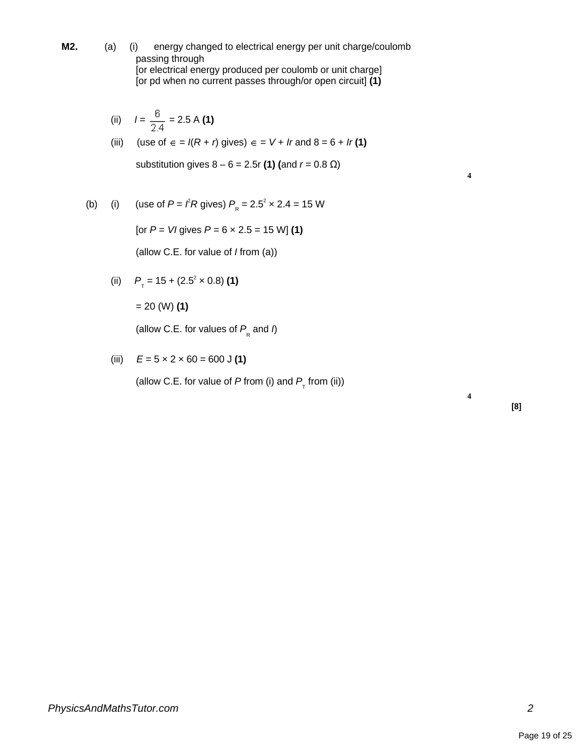**M2.** (a) (i) energy changed to electrical energy per unit charge/coulomb passing through [or electrical energy produced per coulomb or unit charge] [or pd when no current passes through/or open circuit] **(1)**

(ii) 
$$
I = \frac{6}{2.4} = 2.5 \text{ A (1)}
$$

(iii) (use of 
$$
\epsilon = I(R + r)
$$
 gives)  $\epsilon = V + Ir$  and  $8 = 6 + Ir(1)$ 

substitution gives  $8 - 6 = 2.5r(1)($ and  $r = 0.8 Ω)$ 

**4**

**4**

(b) (i) (use of 
$$
P = \ell R
$$
 gives)  $P_R = 2.5^2 \times 2.4 = 15$  W

[or  $P = VI$  gives  $P = 6 \times 2.5 = 15$  W] (1)

(allow C.E. for value of I from (a))

(ii) 
$$
P_{\tau} = 15 + (2.5^2 \times 0.8)
$$
 (1)

= 20 (W) **(1)**

(allow C.E. for values of  $P_{\rm g}$  and  $\eta$ 

(iii) 
$$
E = 5 \times 2 \times 60 = 600 \text{ J (1)}
$$

(allow C.E. for value of P from (i) and  $P_{\tau}$  from (ii))

**[8]**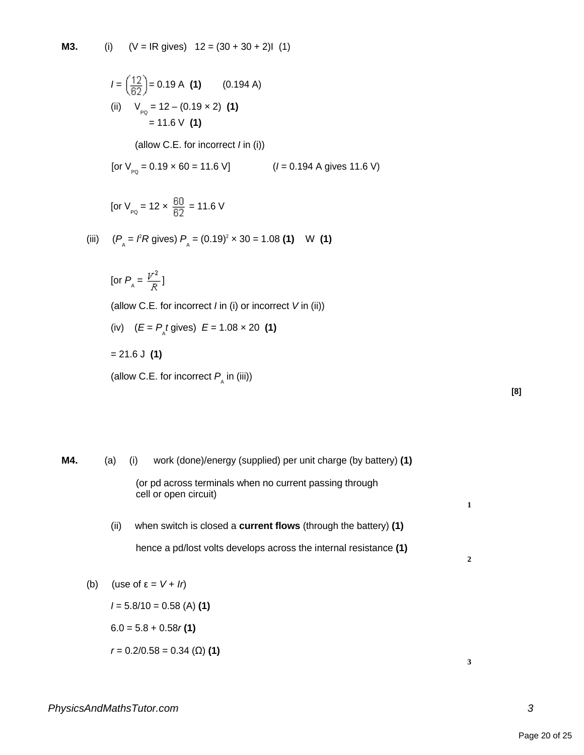**M3.** (i)  $(V = IR$  gives)  $12 = (30 + 30 + 2)1$  (1)

$$
I = \left(\frac{12}{62}\right) = 0.19 \text{ A (1)} \qquad (0.194 \text{ A})
$$
  
(ii) 
$$
V_{pq} = 12 - (0.19 \times 2) \text{ (1)}
$$

$$
= 11.6 \text{ V (1)}
$$

(allow C.E. for incorrect / in (i))

[or 
$$
V_{p_Q} = 0.19 \times 60 = 11.6 \text{ V}
$$
]  
 $(I = 0.194 \text{ A gives } 11.6 \text{ V})$ 

$$
[or V_{pQ} = 12 \times \frac{60}{62} = 11.6 V]
$$

(iii) 
$$
(P_{A} = \mathcal{F}R \text{ gives}) P_{A} = (0.19)^{2} \times 30 = 1.08 \text{ (1)}
$$
 W (1)

$$
[\text{or } P_{\text{A}} = \frac{V^2}{R}]
$$

(allow C.E. for incorrect  $I$  in (i) or incorrect  $V$  in (ii))

(iv)  $(E = P_{\text{A}} t \text{ gives}) E = 1.08 \times 20$  (1)

= 21.6 J **(1)**

(allow C.E. for incorrect  $P_{\text{A}}$  in (iii))

| I<br>۰. |
|---------|
|         |

**M4.** (a) (i) work (done)/energy (supplied) per unit charge (by battery) **(1)** (or pd across terminals when no current passing through cell or open circuit) **1** (ii) when switch is closed a **current flows** (through the battery) **(1)** hence a pd/lost volts develops across the internal resistance **(1) 2** (b) (use of  $\varepsilon = V + Ir$ )  $I = 5.8/10 = 0.58$  (A) (1)

$$
6.0 = 5.8 + 0.58r(1)
$$

$$
r = 0.2/0.58 = 0.34 \, (\Omega) \, (1)
$$

*PhysicsAndMathsTutor.com 3*

**3**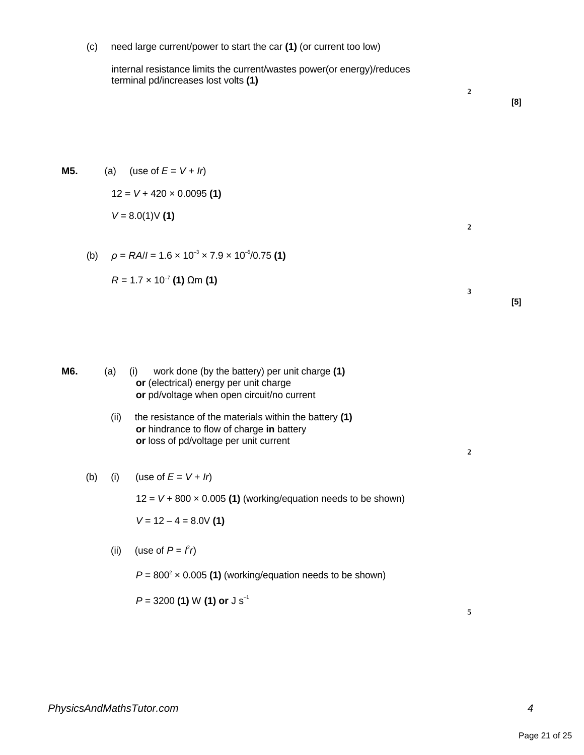(c) need large current/power to start the car **(1)** (or current too low)

internal resistance limits the current/wastes power(or energy)/reduces terminal pd/increases lost volts **(1)**

**[8]**

**[5]**

**2**

**2**

**3**

**2**

**M5.** (a) (use of  $E = V + Ir$ )

12 = V + 420 × 0.0095 **(1)**  $V = 8.0(1)$ V (1)

(b)  $\rho = RA/I = 1.6 \times 10^{-3} \times 7.9 \times 10^{-5}/0.75$  (1)

$$
R = 1.7 \times 10^{-7} (1) \Omega m (1)
$$

**M6.** (a) (i) work done (by the battery) per unit charge **(1) or** (electrical) energy per unit charge **or** pd/voltage when open circuit/no current

> (ii) the resistance of the materials within the battery **(1) or** hindrance to flow of charge **in** battery **or** loss of pd/voltage per unit current

(b) (i) (use of 
$$
E = V + Ir
$$
)

 $12 = V + 800 \times 0.005$  (1) (working/equation needs to be shown)

 $V = 12 - 4 = 8.0V(1)$ 

(ii) (use of  $P = f r$ )

 $P = 800^2 \times 0.005$  (1) (working/equation needs to be shown)

P = 3200 **(1)** W **(1) or** J s–1

**5**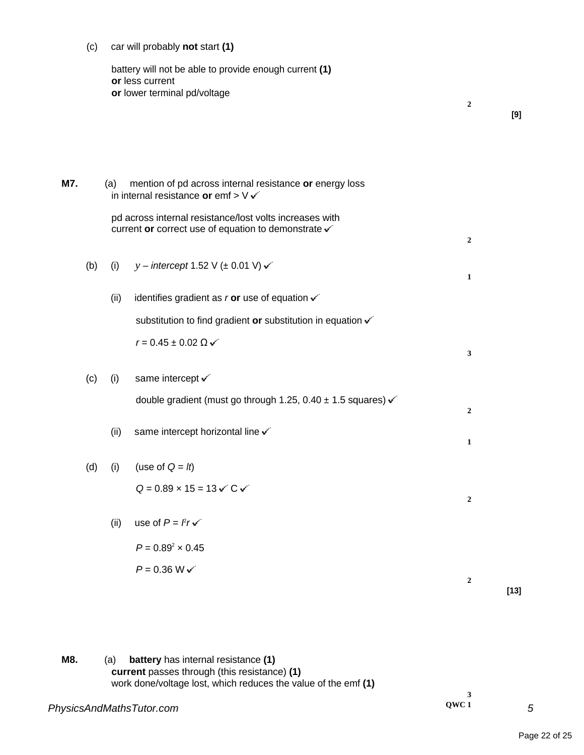(c) car will probably **not** start **(1)**

battery will not be able to provide enough current **(1) or** less current **or** lower terminal pd/voltage **2 M7.** (a) mention of pd across internal resistance **or** energy loss in internal resistance **or** emf > V pd across internal resistance/lost volts increases with current **or** correct use of equation to demonstrate **2** (b) (i)  $y -$  intercept 1.52 V ( $\pm$  0.01 V)  $\checkmark$ **1** (ii) identifies gradient as  $r$  or use of equation  $\checkmark$ substitution to find gradient or substitution in equation  $\checkmark$  $r = 0.45 \pm 0.02 \Omega$ **3** (c) (i) same intercept  $\checkmark$ double gradient (must go through 1.25, 0.40  $\pm$  1.5 squares)  $\checkmark$ **2** (ii) same intercept horizontal line  $\checkmark$ **1** (d) (i) (use of  $Q = lt$ )  $Q = 0.89 \times 15 = 13 \sqrt{C} \sqrt{ }$ **2** (ii) use of  $P = \ell r \cdot$  $P = 0.89^2 \times 0.45$  $P = 0.36 W \checkmark$ **2 [13]**

**QWC 1**

**3**

**[9]**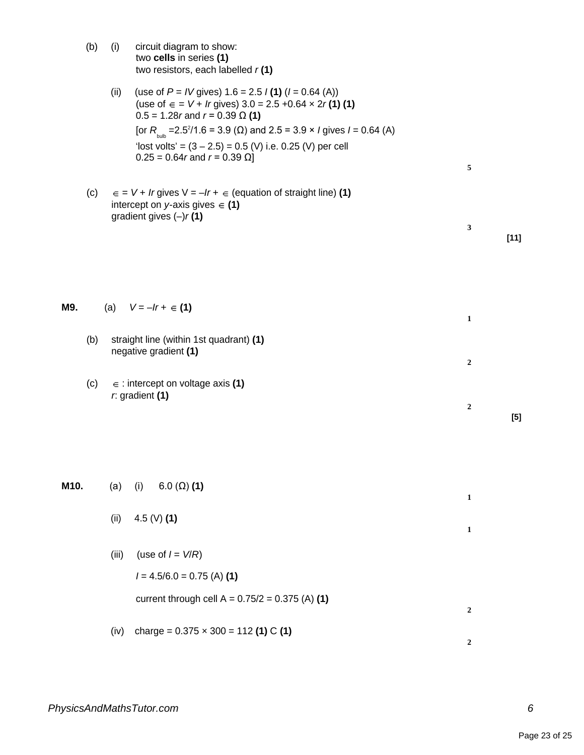|      | (b) | (i)   | circuit diagram to show:<br>two cells in series (1)<br>two resistors, each labelled $r(1)$                                                                                                                                                                                                                                                                                                       |                   |        |
|------|-----|-------|--------------------------------------------------------------------------------------------------------------------------------------------------------------------------------------------------------------------------------------------------------------------------------------------------------------------------------------------------------------------------------------------------|-------------------|--------|
|      |     | (ii)  | (use of $P = IV$ gives) 1.6 = 2.5 $I(1)(I = 0.64(A))$<br>(use of ∈ = $V$ + <i>lr</i> gives) 3.0 = 2.5 +0.64 x 2 <i>r</i> (1) (1)<br>$0.5 = 1.28r$ and $r = 0.39 \Omega(1)$<br>[or $R_{\text{bulb}} = 2.5^2/1.6 = 3.9$ ( $\Omega$ ) and 2.5 = 3.9 × <i>l</i> gives <i>l</i> = 0.64 (A)<br>'lost volts' = $(3 – 2.5) = 0.5$ (V) i.e. 0.25 (V) per cell<br>$0.25 = 0.64r$ and $r = 0.39$ $\Omega$ ] | 5                 |        |
|      | (c) |       | $\epsilon = V + Ir$ gives $V = -Ir + \epsilon$ (equation of straight line) (1)<br>intercept on y-axis gives $\in$ (1)<br>gradient gives $(-)r(1)$                                                                                                                                                                                                                                                |                   |        |
|      |     |       |                                                                                                                                                                                                                                                                                                                                                                                                  | 3                 | $[11]$ |
| M9.  |     |       | (a) $V = -Ir + \in (1)$                                                                                                                                                                                                                                                                                                                                                                          | 1                 |        |
|      | (b) |       | straight line (within 1st quadrant) (1)<br>negative gradient (1)                                                                                                                                                                                                                                                                                                                                 | 2                 |        |
|      | (c) |       | $\epsilon$ : intercept on voltage axis (1)<br>$r$ . gradient $(1)$                                                                                                                                                                                                                                                                                                                               | 2                 | $[5]$  |
| M10. |     | (a)   | $6.0 (\Omega) (1)$<br>(i)                                                                                                                                                                                                                                                                                                                                                                        |                   |        |
|      |     | (ii)  | 4.5 (V) $(1)$                                                                                                                                                                                                                                                                                                                                                                                    | $\mathbf{1}$<br>1 |        |
|      |     | (iii) | (use of $I = V/R$ )<br>$I = 4.5/6.0 = 0.75$ (A) (1)                                                                                                                                                                                                                                                                                                                                              |                   |        |
|      |     |       | current through cell $A = 0.75/2 = 0.375$ (A) (1)                                                                                                                                                                                                                                                                                                                                                | 2                 |        |
|      |     | (iv)  | charge = $0.375 \times 300 = 112$ (1) C (1)                                                                                                                                                                                                                                                                                                                                                      | 2                 |        |